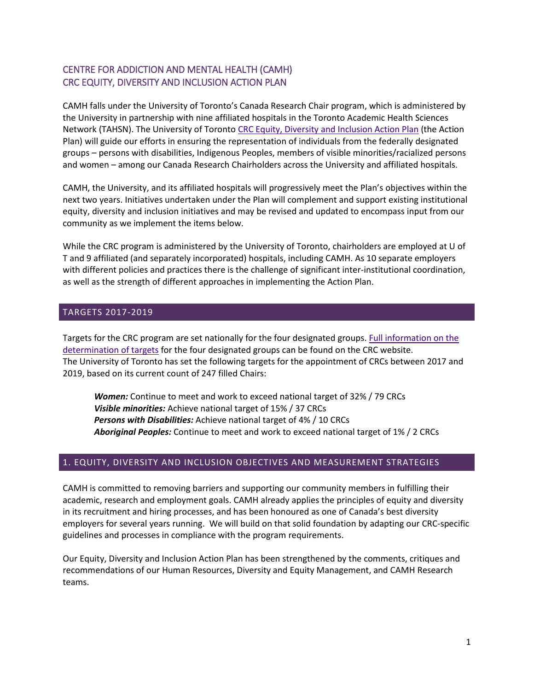# CENTRE FOR ADDICTION AND MENTAL HEALTH (CAMH) CRC EQUITY, DIVERSITY AND INCLUSION ACTION PLAN

CAMH falls under the University of Toronto's Canada Research Chair program, which is administered by the University in partnership with nine affiliated hospitals in the Toronto Academic Health Sciences Network (TAHSN). The University of Toronto [CRC Equity, Diversity and Inclusion Action Plan](http://www.research.utoronto.ca/crc/) (the Action Plan) will guide our efforts in ensuring the representation of individuals from the federally designated groups – persons with disabilities, Indigenous Peoples, members of visible minorities/racialized persons and women – among our Canada Research Chairholders across the University and affiliated hospitals.

CAMH, the University, and its affiliated hospitals will progressively meet the Plan's objectives within the next two years. Initiatives undertaken under the Plan will complement and support existing institutional equity, diversity and inclusion initiatives and may be revised and updated to encompass input from our community as we implement the items below.

While the CRC program is administered by the University of Toronto, chairholders are employed at U of T and 9 affiliated (and separately incorporated) hospitals, including CAMH. As 10 separate employers with different policies and practices there is the challenge of significant inter-institutional coordination, as well as the strength of different approaches in implementing the Action Plan.

### TARGETS 2017-2019

Targets for the CRC program are set nationally for the four designated groups. [Full information on the](http://www.chairs-chaires.gc.ca/program-programme/equity-equite/index-eng.aspx#m2)  [determination of targets](http://www.chairs-chaires.gc.ca/program-programme/equity-equite/index-eng.aspx#m2) for the four designated groups can be found on the CRC website. The University of Toronto has set the following targets for the appointment of CRCs between 2017 and 2019, based on its current count of 247 filled Chairs:

*Women:* Continue to meet and work to exceed national target of 32% / 79 CRCs *Visible minorities:* Achieve national target of 15% / 37 CRCs *Persons with Disabilities:* Achieve national target of 4% / 10 CRCs *Aboriginal Peoples:* Continue to meet and work to exceed national target of 1% / 2 CRCs

### 1. EQUITY, DIVERSITY AND INCLUSION OBJECTIVES AND MEASUREMENT STRATEGIES

CAMH is committed to removing barriers and supporting our community members in fulfilling their academic, research and employment goals. CAMH already applies the principles of equity and diversity in its recruitment and hiring processes, and has been honoured as one of Canada's best diversity employers for several years running. We will build on that solid foundation by adapting our CRC-specific guidelines and processes in compliance with the program requirements.

Our Equity, Diversity and Inclusion Action Plan has been strengthened by the comments, critiques and recommendations of our Human Resources, Diversity and Equity Management, and CAMH Research teams.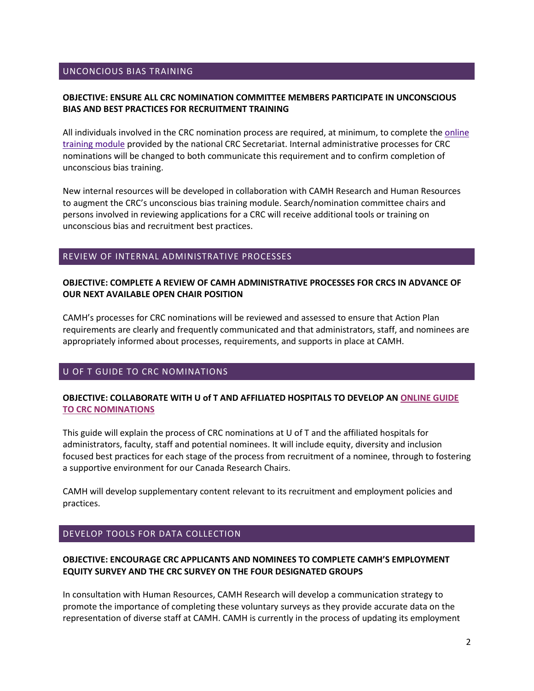### UNCONCIOUS BIAS TRAINING

### **OBJECTIVE: ENSURE ALL CRC NOMINATION COMMITTEE MEMBERS PARTICIPATE IN UNCONSCIOUS BIAS AND BEST PRACTICES FOR RECRUITMENT TRAINING**

All individuals involved in the CRC nomination process are required, at minimum, to complete the [online](http://www.chairs-chaires.gc.ca/program-programme/equity-equite/index-eng.aspx#a1)  [training module](http://www.chairs-chaires.gc.ca/program-programme/equity-equite/index-eng.aspx#a1) provided by the national CRC Secretariat. Internal administrative processes for CRC nominations will be changed to both communicate this requirement and to confirm completion of unconscious bias training.

New internal resources will be developed in collaboration with CAMH Research and Human Resources to augment the CRC's unconscious bias training module. Search/nomination committee chairs and persons involved in reviewing applications for a CRC will receive additional tools or training on unconscious bias and recruitment best practices.

#### REVIEW OF INTERNAL ADMINISTRATIVE PROCESSES

### **OBJECTIVE: COMPLETE A REVIEW OF CAMH ADMINISTRATIVE PROCESSES FOR CRCS IN ADVANCE OF OUR NEXT AVAILABLE OPEN CHAIR POSITION**

CAMH's processes for CRC nominations will be reviewed and assessed to ensure that Action Plan requirements are clearly and frequently communicated and that administrators, staff, and nominees are appropriately informed about processes, requirements, and supports in place at CAMH.

### U OF T GUIDE TO CRC NOMINATIONS

### **OBJECTIVE: COLLABORATE WITH U of T AND AFFILIATED HOSPITALS TO DEVELOP AN [ONLINE GUIDE](http://www.research.utoronto.ca/crc/ediap/#_U_of_T)  [TO CRC NOMINATIONS](http://www.research.utoronto.ca/crc/ediap/#_U_of_T)**

This guide will explain the process of CRC nominations at U of T and the affiliated hospitals for administrators, faculty, staff and potential nominees. It will include equity, diversity and inclusion focused best practices for each stage of the process from recruitment of a nominee, through to fostering a supportive environment for our Canada Research Chairs.

CAMH will develop supplementary content relevant to its recruitment and employment policies and practices.

### DEVELOP TOOLS FOR DATA COLLECTION

### **OBJECTIVE: ENCOURAGE CRC APPLICANTS AND NOMINEES TO COMPLETE CAMH'S EMPLOYMENT EQUITY SURVEY AND THE CRC SURVEY ON THE FOUR DESIGNATED GROUPS**

In consultation with Human Resources, CAMH Research will develop a communication strategy to promote the importance of completing these voluntary surveys as they provide accurate data on the representation of diverse staff at CAMH. CAMH is currently in the process of updating its employment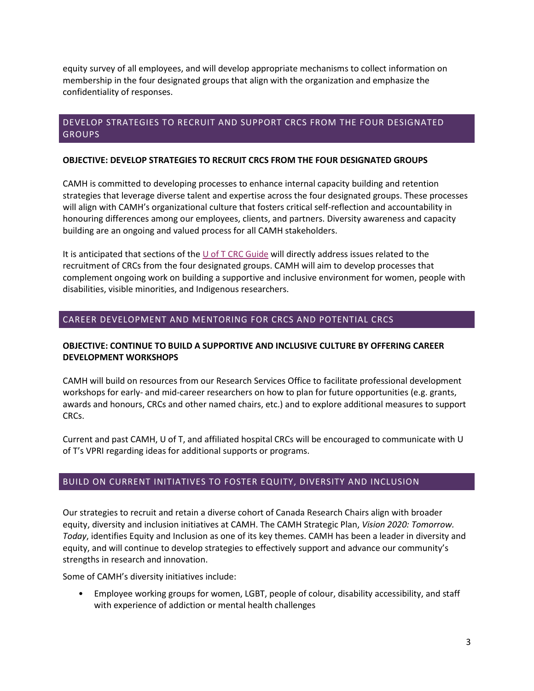equity survey of all employees, and will develop appropriate mechanisms to collect information on membership in the four designated groups that align with the organization and emphasize the confidentiality of responses.

## DEVELOP STRATEGIES TO RECRUIT AND SUPPORT CRCS FROM THE FOUR DESIGNATED GROUPS

### **OBJECTIVE: DEVELOP STRATEGIES TO RECRUIT CRCS FROM THE FOUR DESIGNATED GROUPS**

CAMH is committed to developing processes to enhance internal capacity building and retention strategies that leverage diverse talent and expertise across the four designated groups. These processes will align with CAMH's organizational culture that fosters critical self-reflection and accountability in honouring differences among our employees, clients, and partners. Diversity awareness and capacity building are an ongoing and valued process for all CAMH stakeholders.

It is anticipated that sections of the  $U$  of T CRC Guide will directly address issues related to the recruitment of CRCs from the four designated groups. CAMH will aim to develop processes that complement ongoing work on building a supportive and inclusive environment for women, people with disabilities, visible minorities, and Indigenous researchers.

## CAREER DEVELOPMENT AND MENTORING FOR CRCS AND POTENTIAL CRCS

### **OBJECTIVE: CONTINUE TO BUILD A SUPPORTIVE AND INCLUSIVE CULTURE BY OFFERING CAREER DEVELOPMENT WORKSHOPS**

CAMH will build on resources from our Research Services Office to facilitate professional development workshops for early- and mid-career researchers on how to plan for future opportunities (e.g. grants, awards and honours, CRCs and other named chairs, etc.) and to explore additional measures to support CRCs.

Current and past CAMH, U of T, and affiliated hospital CRCs will be encouraged to communicate with U of T's VPRI regarding ideas for additional supports or programs.

## BUILD ON CURRENT INITIATIVES TO FOSTER EQUITY, DIVERSITY AND INCLUSION

Our strategies to recruit and retain a diverse cohort of Canada Research Chairs align with broader equity, diversity and inclusion initiatives at CAMH. The CAMH Strategic Plan, *Vision 2020: Tomorrow. Today*, identifies Equity and Inclusion as one of its key themes. CAMH has been a leader in diversity and equity, and will continue to develop strategies to effectively support and advance our community's strengths in research and innovation.

Some of CAMH's diversity initiatives include:

• Employee working groups for women, LGBT, people of colour, disability accessibility, and staff with experience of addiction or mental health challenges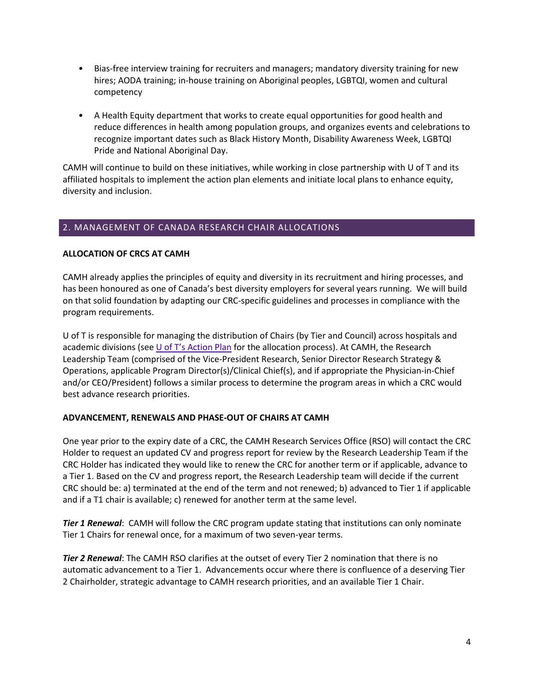- Bias-free interview training for recruiters and managers; mandatory diversity training for new hires; AODA training; in-house training on Aboriginal peoples, LGBTQI, women and cultural competency
- A Health Equity department that works to create equal opportunities for good health and reduce differences in health among population groups, and organizes events and celebrations to recognize important dates such as Black History Month, Disability Awareness Week, LGBTQI Pride and National Aboriginal Day.

CAMH will continue to build on these initiatives, while working in close partnership with U of T and its affiliated hospitals to implement the action plan elements and initiate local plans to enhance equity, diversity and inclusion.

## 2. MANAGEMENT OF CANADA RESEARCH CHAIR ALLOCATIONS

### **ALLOCATION OF CRCS AT CAMH**

CAMH already applies the principles of equity and diversity in its recruitment and hiring processes, and has been honoured as one of Canada's best diversity employers for several years running. We will build on that solid foundation by adapting our CRC-specific guidelines and processes in compliance with the program requirements.

U of T is responsible for managing the distribution of Chairs (by Tier and Council) across hospitals and academic divisions (see [U of T's Action Plan](http://www.research.utoronto.ca/crc/ediap/#allocations) for the allocation process). At CAMH, the Research Leadership Team (comprised of the Vice-President Research, Senior Director Research Strategy & Operations, applicable Program Director(s)/Clinical Chief(s), and if appropriate the Physician-in-Chief and/or CEO/President) follows a similar process to determine the program areas in which a CRC would best advance research priorities.

### **ADVANCEMENT, RENEWALS AND PHASE-OUT OF CHAIRS AT CAMH**

One year prior to the expiry date of a CRC, the CAMH Research Services Office (RSO) will contact the CRC Holder to request an updated CV and progress report for review by the Research Leadership Team if the CRC Holder has indicated they would like to renew the CRC for another term or if applicable, advance to a Tier 1. Based on the CV and progress report, the Research Leadership team will decide if the current CRC should be: a) terminated at the end of the term and not renewed; b) advanced to Tier 1 if applicable and if a T1 chair is available; c) renewed for another term at the same level.

*Tier 1 Renewal*: CAMH will follow the CRC program update stating that institutions can only nominate Tier 1 Chairs for renewal once, for a maximum of two seven-year terms.

*Tier 2 Renewal*: The CAMH RSO clarifies at the outset of every Tier 2 nomination that there is no automatic advancement to a Tier 1. Advancements occur where there is confluence of a deserving Tier 2 Chairholder, strategic advantage to CAMH research priorities, and an available Tier 1 Chair.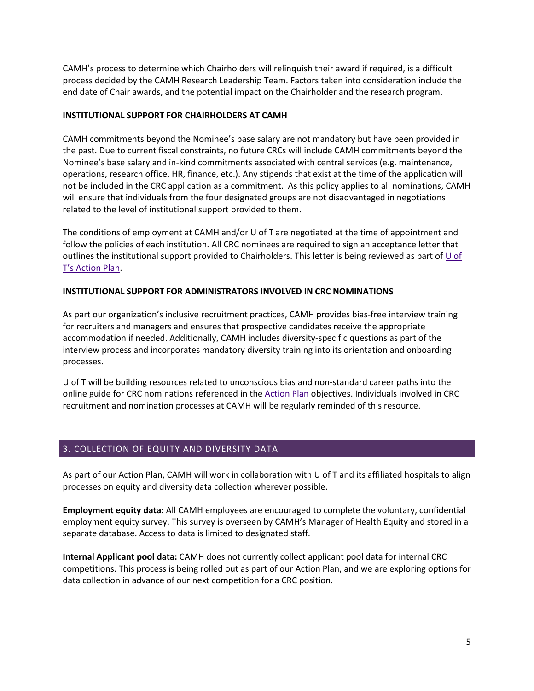CAMH's process to determine which Chairholders will relinquish their award if required, is a difficult process decided by the CAMH Research Leadership Team. Factors taken into consideration include the end date of Chair awards, and the potential impact on the Chairholder and the research program.

### **INSTITUTIONAL SUPPORT FOR CHAIRHOLDERS AT CAMH**

CAMH commitments beyond the Nominee's base salary are not mandatory but have been provided in the past. Due to current fiscal constraints, no future CRCs will include CAMH commitments beyond the Nominee's base salary and in-kind commitments associated with central services (e.g. maintenance, operations, research office, HR, finance, etc.). Any stipends that exist at the time of the application will not be included in the CRC application as a commitment. As this policy applies to all nominations, CAMH will ensure that individuals from the four designated groups are not disadvantaged in negotiations related to the level of institutional support provided to them.

The conditions of employment at CAMH and/or U of T are negotiated at the time of appointment and follow the policies of each institution. All CRC nominees are required to sign an acceptance letter that outlines the institutional support provided to Chairholders. This letter is being reviewed as part of  $\underline{U}$  of [T's Action Plan.](http://www.research.utoronto.ca/crc/ediap/#support_chairholders)

### **INSTITUTIONAL SUPPORT FOR ADMINISTRATORS INVOLVED IN CRC NOMINATIONS**

As part our organization's inclusive recruitment practices, CAMH provides bias-free interview training for recruiters and managers and ensures that prospective candidates receive the appropriate accommodation if needed. Additionally, CAMH includes diversity-specific questions as part of the interview process and incorporates mandatory diversity training into its orientation and onboarding processes.

U of T will be building resources related to unconscious bias and non-standard career paths into the online guide for CRC nominations referenced in th[e Action Plan](http://www.research.utoronto.ca/crc/ediap/#_U_of_T) objectives. Individuals involved in CRC recruitment and nomination processes at CAMH will be regularly reminded of this resource.

## 3. COLLECTION OF EQUITY AND DIVERSITY DATA

As part of our Action Plan, CAMH will work in collaboration with U of T and its affiliated hospitals to align processes on equity and diversity data collection wherever possible.

**Employment equity data:** All CAMH employees are encouraged to complete the voluntary, confidential employment equity survey. This survey is overseen by CAMH's Manager of Health Equity and stored in a separate database. Access to data is limited to designated staff.

**Internal Applicant pool data:** CAMH does not currently collect applicant pool data for internal CRC competitions. This process is being rolled out as part of our Action Plan, and we are exploring options for data collection in advance of our next competition for a CRC position.